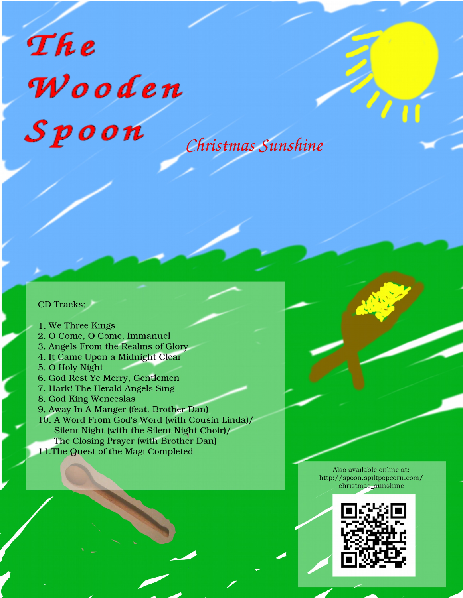# The Wooden  $S$ poon

Christmas Sunshine

#### **CD** Tracks:

- 1. We Three Kings
- 2. O Come, O Come, Immanuel
- 3. Angels From the Realms of Glory
- 4. It Came Upon a Midnight Clear
- 5. O Holy Night
- 6. God Rest Ye Merry, Gentlemen
- 7. Hark! The Herald Angels Sing
- 8. God King Wenceslas
- 9. Away In A Manger (feat. Brother Dan)
- 10. A Word From God's Word (with Cousin Linda)/ Silent Night (with the Silent Night Choir)/ The Closing Prayer (with Brother Dan)
- 11. The Quest of the Magi Completed

Also available online at: http://spoon.spiltpopcorn.com/ christmas\_sunshine

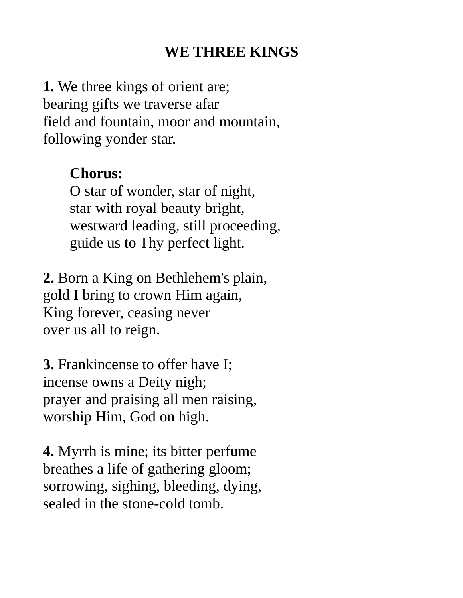# **WE THREE KINGS**

**1.** We three kings of orient are; bearing gifts we traverse afar field and fountain, moor and mountain, following yonder star.

### **Chorus:**

O star of wonder, star of night, star with royal beauty bright, westward leading, still proceeding, guide us to Thy perfect light.

**2.** Born a King on Bethlehem's plain, gold I bring to crown Him again, King forever, ceasing never over us all to reign.

**3.** Frankincense to offer have I; incense owns a Deity nigh; prayer and praising all men raising, worship Him, God on high.

**4.** Myrrh is mine; its bitter perfume breathes a life of gathering gloom; sorrowing, sighing, bleeding, dying, sealed in the stone-cold tomb.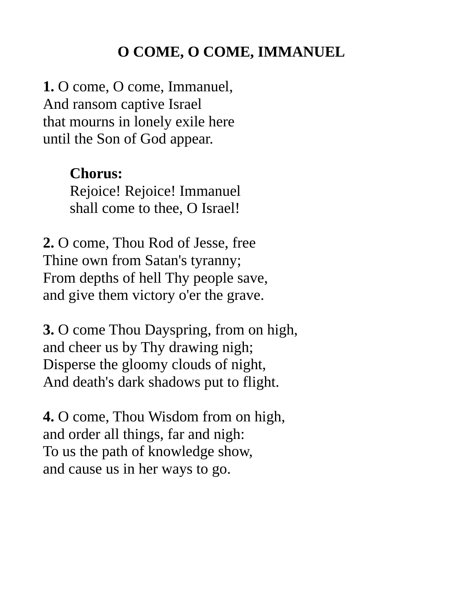# **O COME, O COME, IMMANUEL**

**1.** O come, O come, Immanuel, And ransom captive Israel that mourns in lonely exile here until the Son of God appear.

#### **Chorus:**

Rejoice! Rejoice! Immanuel shall come to thee, O Israel!

**2.** O come, Thou Rod of Jesse, free Thine own from Satan's tyranny; From depths of hell Thy people save, and give them victory o'er the grave.

**3.** O come Thou Dayspring, from on high, and cheer us by Thy drawing nigh; Disperse the gloomy clouds of night, And death's dark shadows put to flight.

**4.** O come, Thou Wisdom from on high, and order all things, far and nigh: To us the path of knowledge show, and cause us in her ways to go.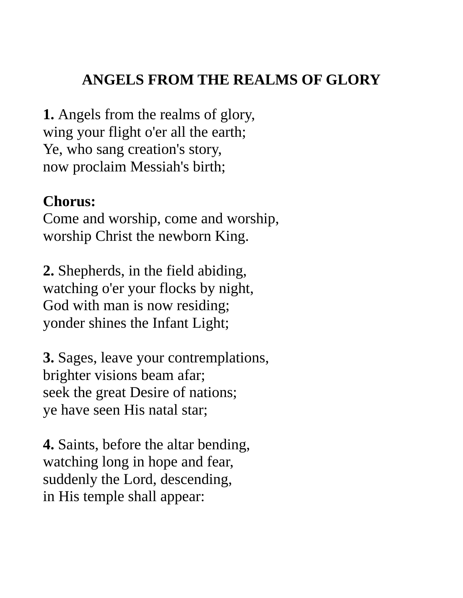# **ANGELS FROM THE REALMS OF GLORY**

**1.** Angels from the realms of glory, wing your flight o'er all the earth; Ye, who sang creation's story, now proclaim Messiah's birth;

#### **Chorus:**

Come and worship, come and worship, worship Christ the newborn King.

**2.** Shepherds, in the field abiding, watching o'er your flocks by night, God with man is now residing; yonder shines the Infant Light;

**3.** Sages, leave your contremplations, brighter visions beam afar; seek the great Desire of nations; ye have seen His natal star;

**4.** Saints, before the altar bending, watching long in hope and fear, suddenly the Lord, descending, in His temple shall appear: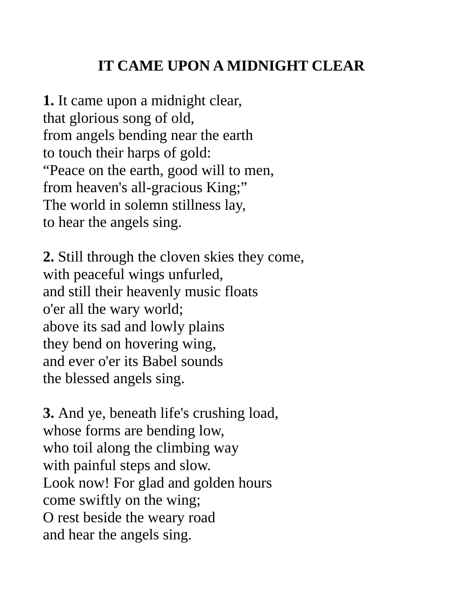# **IT CAME UPON A MIDNIGHT CLEAR**

**1.** It came upon a midnight clear, that glorious song of old, from angels bending near the earth to touch their harps of gold: "Peace on the earth, good will to men, from heaven's all-gracious King;" The world in solemn stillness lay, to hear the angels sing.

**2.** Still through the cloven skies they come, with peaceful wings unfurled, and still their heavenly music floats o'er all the wary world; above its sad and lowly plains they bend on hovering wing, and ever o'er its Babel sounds the blessed angels sing.

**3.** And ye, beneath life's crushing load, whose forms are bending low, who toil along the climbing way with painful steps and slow. Look now! For glad and golden hours come swiftly on the wing; O rest beside the weary road and hear the angels sing.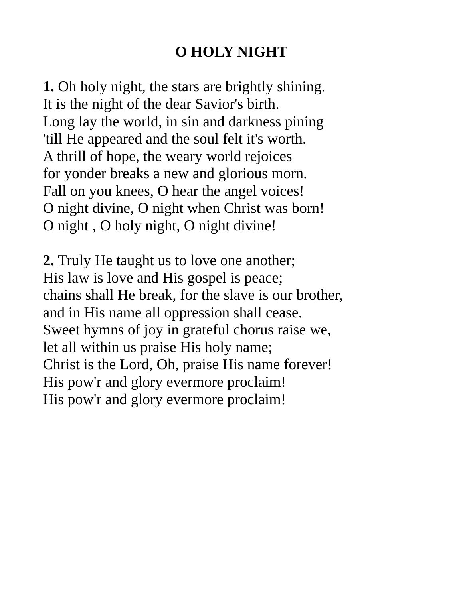# **O HOLY NIGHT**

**1.** Oh holy night, the stars are brightly shining. It is the night of the dear Savior's birth. Long lay the world, in sin and darkness pining 'till He appeared and the soul felt it's worth. A thrill of hope, the weary world rejoices for yonder breaks a new and glorious morn. Fall on you knees, O hear the angel voices! O night divine, O night when Christ was born! O night , O holy night, O night divine!

**2.** Truly He taught us to love one another; His law is love and His gospel is peace; chains shall He break, for the slave is our brother, and in His name all oppression shall cease. Sweet hymns of joy in grateful chorus raise we, let all within us praise His holy name; Christ is the Lord, Oh, praise His name forever! His pow'r and glory evermore proclaim! His pow'r and glory evermore proclaim!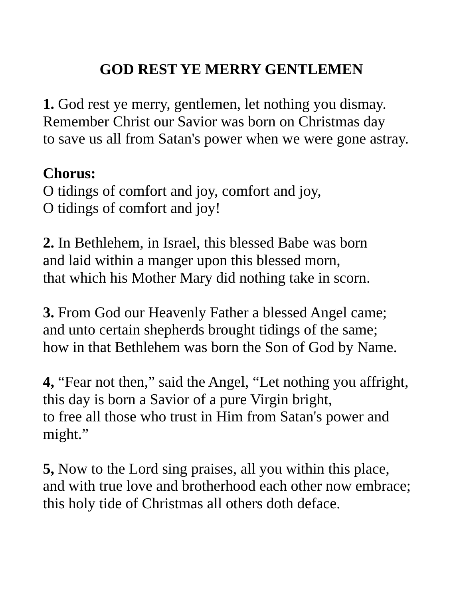# **GOD REST YE MERRY GENTLEMEN**

**1.** God rest ye merry, gentlemen, let nothing you dismay. Remember Christ our Savior was born on Christmas day to save us all from Satan's power when we were gone astray.

### **Chorus:**

O tidings of comfort and joy, comfort and joy, O tidings of comfort and joy!

**2.** In Bethlehem, in Israel, this blessed Babe was born and laid within a manger upon this blessed morn, that which his Mother Mary did nothing take in scorn.

**3.** From God our Heavenly Father a blessed Angel came; and unto certain shepherds brought tidings of the same; how in that Bethlehem was born the Son of God by Name.

**4,** "Fear not then," said the Angel, "Let nothing you affright, this day is born a Savior of a pure Virgin bright, to free all those who trust in Him from Satan's power and might."

**5,** Now to the Lord sing praises, all you within this place, and with true love and brotherhood each other now embrace; this holy tide of Christmas all others doth deface.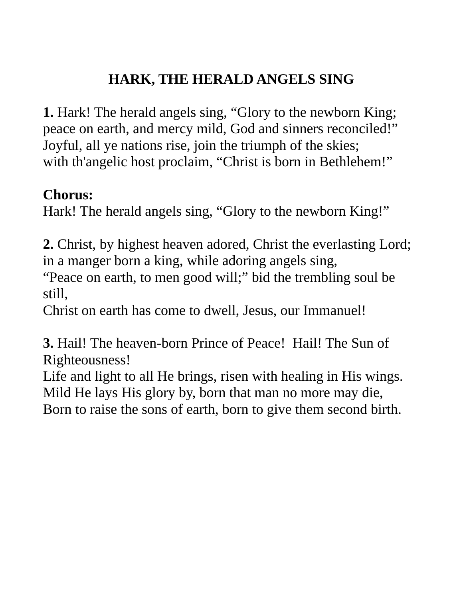# **HARK, THE HERALD ANGELS SING**

**1.** Hark! The herald angels sing, "Glory to the newborn King; peace on earth, and mercy mild, God and sinners reconciled!" Joyful, all ye nations rise, join the triumph of the skies; with th'angelic host proclaim, "Christ is born in Bethlehem!"

### **Chorus:**

Hark! The herald angels sing, "Glory to the newborn King!"

**2.** Christ, by highest heaven adored, Christ the everlasting Lord; in a manger born a king, while adoring angels sing,

"Peace on earth, to men good will;" bid the trembling soul be still,

Christ on earth has come to dwell, Jesus, our Immanuel!

**3.** Hail! The heaven-born Prince of Peace! Hail! The Sun of Righteousness!

Life and light to all He brings, risen with healing in His wings. Mild He lays His glory by, born that man no more may die, Born to raise the sons of earth, born to give them second birth.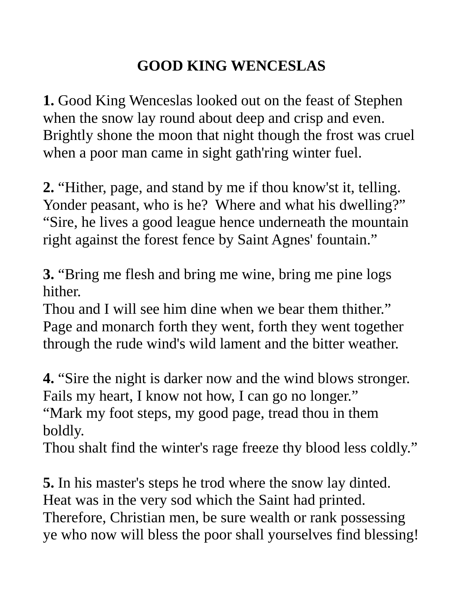# **GOOD KING WENCESLAS**

**1.** Good King Wenceslas looked out on the feast of Stephen when the snow lay round about deep and crisp and even. Brightly shone the moon that night though the frost was cruel when a poor man came in sight gath'ring winter fuel.

**2.** "Hither, page, and stand by me if thou know'st it, telling. Yonder peasant, who is he? Where and what his dwelling?" "Sire, he lives a good league hence underneath the mountain right against the forest fence by Saint Agnes' fountain."

**3.** "Bring me flesh and bring me wine, bring me pine logs hither.

Thou and I will see him dine when we bear them thither." Page and monarch forth they went, forth they went together through the rude wind's wild lament and the bitter weather.

**4.** "Sire the night is darker now and the wind blows stronger. Fails my heart, I know not how, I can go no longer." "Mark my foot steps, my good page, tread thou in them boldly.

Thou shalt find the winter's rage freeze thy blood less coldly."

**5.** In his master's steps he trod where the snow lay dinted. Heat was in the very sod which the Saint had printed. Therefore, Christian men, be sure wealth or rank possessing ye who now will bless the poor shall yourselves find blessing!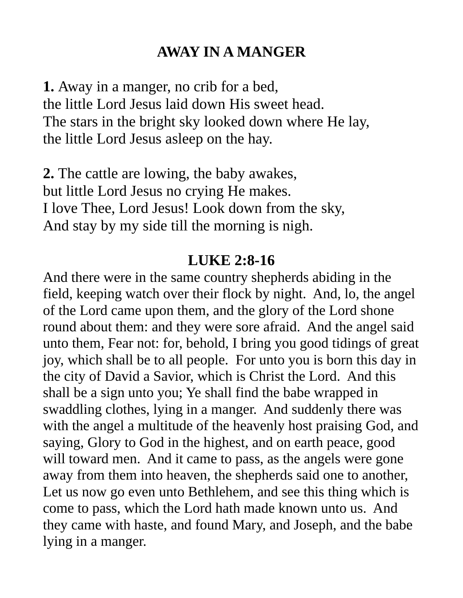#### **AWAY IN A MANGER**

**1.** Away in a manger, no crib for a bed, the little Lord Jesus laid down His sweet head. The stars in the bright sky looked down where He lay, the little Lord Jesus asleep on the hay.

**2.** The cattle are lowing, the baby awakes, but little Lord Jesus no crying He makes. I love Thee, Lord Jesus! Look down from the sky, And stay by my side till the morning is nigh.

#### **LUKE 2:8-16**

And there were in the same country shepherds abiding in the field, keeping watch over their flock by night. And, lo, the angel of the Lord came upon them, and the glory of the Lord shone round about them: and they were sore afraid. And the angel said unto them, Fear not: for, behold, I bring you good tidings of great joy, which shall be to all people. For unto you is born this day in the city of David a Savior, which is Christ the Lord. And this shall be a sign unto you; Ye shall find the babe wrapped in swaddling clothes, lying in a manger. And suddenly there was with the angel a multitude of the heavenly host praising God, and saying, Glory to God in the highest, and on earth peace, good will toward men. And it came to pass, as the angels were gone away from them into heaven, the shepherds said one to another, Let us now go even unto Bethlehem, and see this thing which is come to pass, which the Lord hath made known unto us. And they came with haste, and found Mary, and Joseph, and the babe lying in a manger.